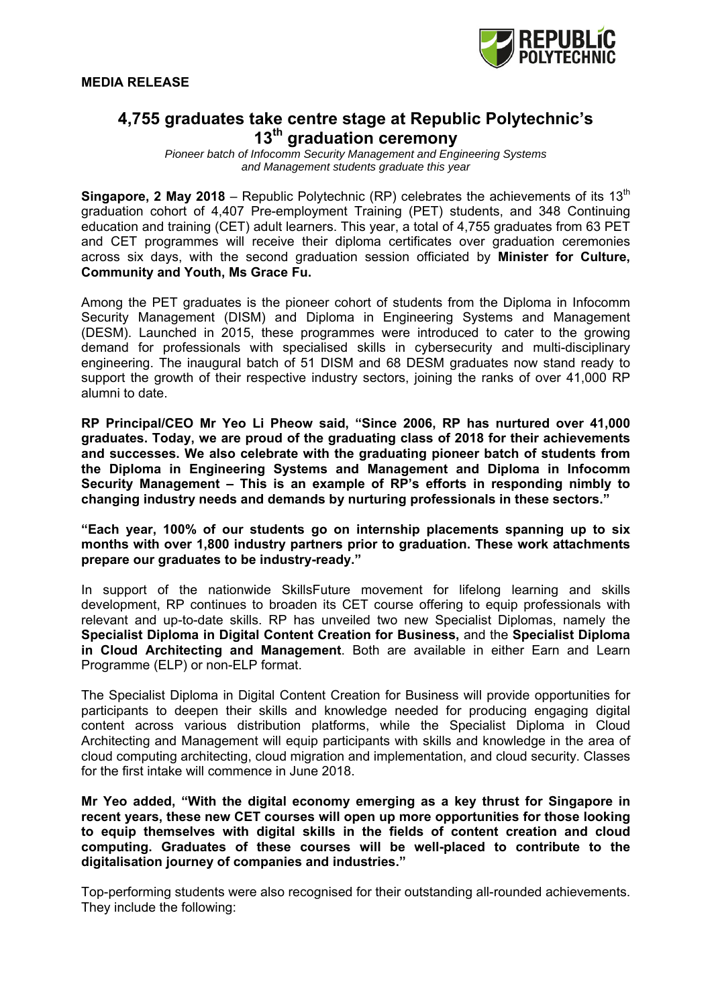

# **4,755 graduates take centre stage at Republic Polytechnic's 13th graduation ceremony**

*Pioneer batch of Infocomm Security Management and Engineering Systems and Management students graduate this year*

**Singapore, 2 May 2018** – Republic Polytechnic (RP) celebrates the achievements of its 13<sup>th</sup> graduation cohort of 4,407 Pre-employment Training (PET) students, and 348 Continuing education and training (CET) adult learners. This year, a total of 4,755 graduates from 63 PET and CET programmes will receive their diploma certificates over graduation ceremonies across six days, with the second graduation session officiated by **Minister for Culture, Community and Youth, Ms Grace Fu.**

Among the PET graduates is the pioneer cohort of students from the Diploma in Infocomm Security Management (DISM) and Diploma in Engineering Systems and Management (DESM). Launched in 2015, these programmes were introduced to cater to the growing demand for professionals with specialised skills in cybersecurity and multi-disciplinary engineering. The inaugural batch of 51 DISM and 68 DESM graduates now stand ready to support the growth of their respective industry sectors, joining the ranks of over 41,000 RP alumni to date.

**RP Principal/CEO Mr Yeo Li Pheow said, "Since 2006, RP has nurtured over 41,000 graduates. Today, we are proud of the graduating class of 2018 for their achievements and successes. We also celebrate with the graduating pioneer batch of students from the Diploma in Engineering Systems and Management and Diploma in Infocomm Security Management – This is an example of RP's efforts in responding nimbly to changing industry needs and demands by nurturing professionals in these sectors."**

**"Each year, 100% of our students go on internship placements spanning up to six months with over 1,800 industry partners prior to graduation. These work attachments prepare our graduates to be industry-ready."** 

In support of the nationwide SkillsFuture movement for lifelong learning and skills development, RP continues to broaden its CET course offering to equip professionals with relevant and up-to-date skills. RP has unveiled two new Specialist Diplomas, namely the **Specialist Diploma in Digital Content Creation for Business,** and the **Specialist Diploma in Cloud Architecting and Management**. Both are available in either Earn and Learn Programme (ELP) or non-ELP format.

The Specialist Diploma in Digital Content Creation for Business will provide opportunities for participants to deepen their skills and knowledge needed for producing engaging digital content across various distribution platforms, while the Specialist Diploma in Cloud Architecting and Management will equip participants with skills and knowledge in the area of cloud computing architecting, cloud migration and implementation, and cloud security. Classes for the first intake will commence in June 2018.

**Mr Yeo added, "With the digital economy emerging as a key thrust for Singapore in recent years, these new CET courses will open up more opportunities for those looking to equip themselves with digital skills in the fields of content creation and cloud computing. Graduates of these courses will be well-placed to contribute to the digitalisation journey of companies and industries."** 

Top-performing students were also recognised for their outstanding all-rounded achievements. They include the following: